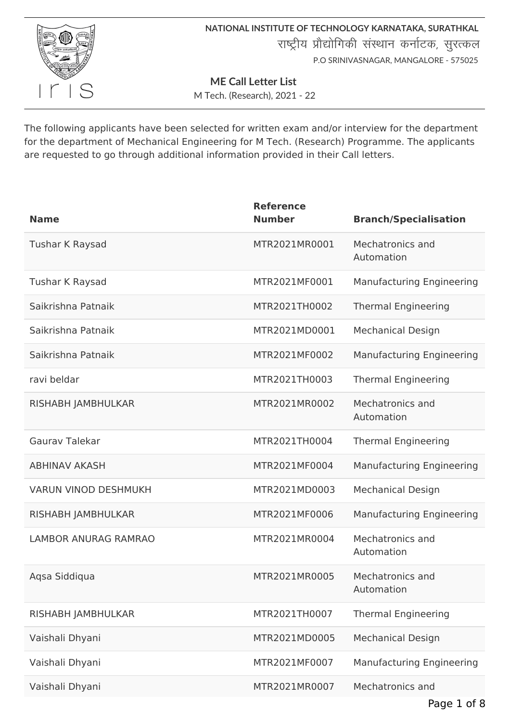

**NATIONAL INSTITUTE OF TECHNOLOGY KARNATAKA, SURATHKAL** राष्ट्रीय प्रौद्योगिकी संस्थान कर्नाटक, सुरत्कल P.O SRINIVASNAGAR, MANGALORE - 575025

**ME Call Letter List**

M Tech. (Research), 2021 - 22

The following applicants have been selected for written exam and/or interview for the department for the department of Mechanical Engineering for M Tech. (Research) Programme. The applicants are requested to go through additional information provided in their Call letters.

| <b>Name</b>                 | <b>Reference</b><br><b>Number</b> | <b>Branch/Specialisation</b>     |
|-----------------------------|-----------------------------------|----------------------------------|
| Tushar K Raysad             | MTR2021MR0001                     | Mechatronics and<br>Automation   |
| Tushar K Raysad             | MTR2021MF0001                     | <b>Manufacturing Engineering</b> |
| Saikrishna Patnaik          | MTR2021TH0002                     | <b>Thermal Engineering</b>       |
| Saikrishna Patnaik          | MTR2021MD0001                     | <b>Mechanical Design</b>         |
| Saikrishna Patnaik          | MTR2021MF0002                     | <b>Manufacturing Engineering</b> |
| ravi beldar                 | MTR2021TH0003                     | <b>Thermal Engineering</b>       |
| RISHABH JAMBHULKAR          | MTR2021MR0002                     | Mechatronics and<br>Automation   |
| <b>Gauray Talekar</b>       | MTR2021TH0004                     | <b>Thermal Engineering</b>       |
| <b>ABHINAV AKASH</b>        | MTR2021MF0004                     | <b>Manufacturing Engineering</b> |
| <b>VARUN VINOD DESHMUKH</b> | MTR2021MD0003                     | <b>Mechanical Design</b>         |
| RISHABH JAMBHULKAR          | MTR2021MF0006                     | <b>Manufacturing Engineering</b> |
| <b>LAMBOR ANURAG RAMRAO</b> | MTR2021MR0004                     | Mechatronics and<br>Automation   |
| Aqsa Siddiqua               | MTR2021MR0005                     | Mechatronics and<br>Automation   |
| RISHABH JAMBHULKAR          | MTR2021TH0007                     | <b>Thermal Engineering</b>       |
| Vaishali Dhyani             | MTR2021MD0005                     | <b>Mechanical Design</b>         |
| Vaishali Dhyani             | MTR2021MF0007                     | <b>Manufacturing Engineering</b> |
| Vaishali Dhyani             | MTR2021MR0007                     | Mechatronics and                 |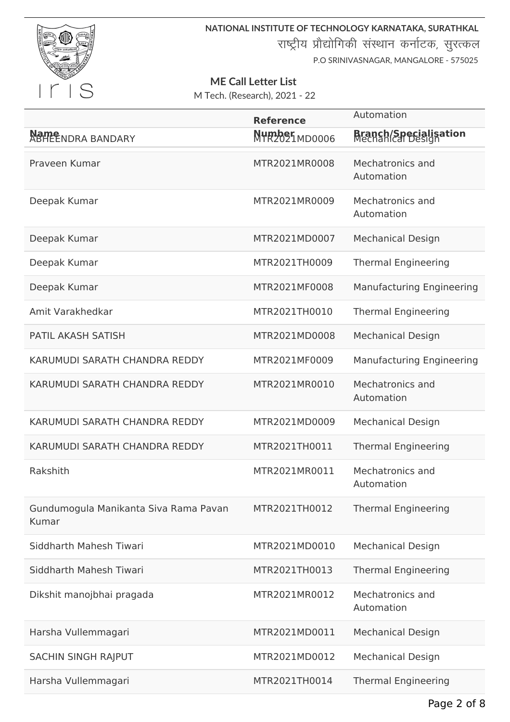

**NATIONAL INSTITUTE OF TECHNOLOGY KARNATAKA, SURATHKAL**

राष्ट्रीय प्रौद्योगिकी संस्थान कर्नाटक, सुरत्कल

P.O SRINIVASNAGAR, MANGALORE - 575025

# **ME Call Letter List**

|                                                | <b>Reference</b>        | Automation                                        |
|------------------------------------------------|-------------------------|---------------------------------------------------|
| Name<br>ABHEENDRA BANDARY                      | Mumber<br>MTR2021MD0006 | <b>Branch/Specialisation</b><br>Mechanical Design |
| Praveen Kumar                                  | MTR2021MR0008           | Mechatronics and<br>Automation                    |
| Deepak Kumar                                   | MTR2021MR0009           | Mechatronics and<br>Automation                    |
| Deepak Kumar                                   | MTR2021MD0007           | <b>Mechanical Design</b>                          |
| Deepak Kumar                                   | MTR2021TH0009           | <b>Thermal Engineering</b>                        |
| Deepak Kumar                                   | MTR2021MF0008           | <b>Manufacturing Engineering</b>                  |
| Amit Varakhedkar                               | MTR2021TH0010           | <b>Thermal Engineering</b>                        |
| <b>PATIL AKASH SATISH</b>                      | MTR2021MD0008           | <b>Mechanical Design</b>                          |
| KARUMUDI SARATH CHANDRA REDDY                  | MTR2021MF0009           | <b>Manufacturing Engineering</b>                  |
| KARUMUDI SARATH CHANDRA REDDY                  | MTR2021MR0010           | Mechatronics and<br>Automation                    |
| KARUMUDI SARATH CHANDRA REDDY                  | MTR2021MD0009           | <b>Mechanical Design</b>                          |
| KARUMUDI SARATH CHANDRA REDDY                  | MTR2021TH0011           | <b>Thermal Engineering</b>                        |
| Rakshith                                       | MTR2021MR0011           | Mechatronics and<br>Automation                    |
| Gundumogula Manikanta Siva Rama Pavan<br>Kumar | MTR2021TH0012           | <b>Thermal Engineering</b>                        |
| Siddharth Mahesh Tiwari                        | MTR2021MD0010           | <b>Mechanical Design</b>                          |
| Siddharth Mahesh Tiwari                        | MTR2021TH0013           | <b>Thermal Engineering</b>                        |
| Dikshit manojbhai pragada                      | MTR2021MR0012           | Mechatronics and<br>Automation                    |
| Harsha Vullemmagari                            | MTR2021MD0011           | <b>Mechanical Design</b>                          |
| <b>SACHIN SINGH RAJPUT</b>                     | MTR2021MD0012           | <b>Mechanical Design</b>                          |
| Harsha Vullemmagari                            | MTR2021TH0014           | <b>Thermal Engineering</b>                        |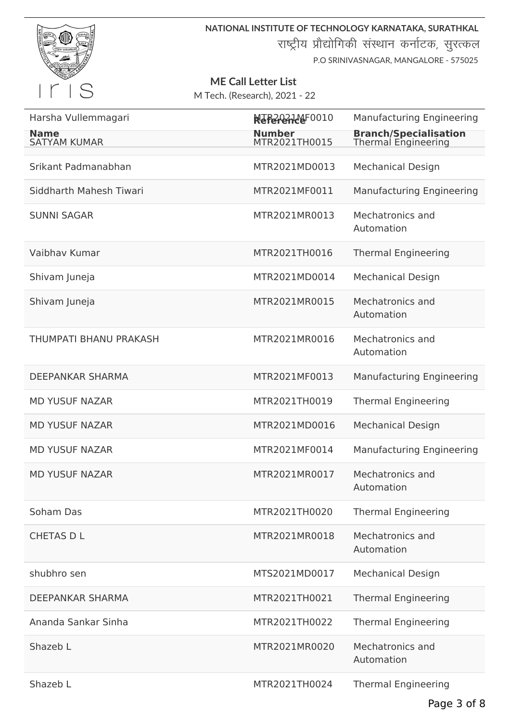

**NATIONAL INSTITUTE OF TECHNOLOGY KARNATAKA, SURATHKAL** राष्ट्रीय प्रौद्योगिकी संस्थान कर्नाटक, सुरत्कल

P.O SRINIVASNAGAR, MANGALORE - 575025

# **ME Call Letter List**

| Harsha Vullemmagari                | NeferenceF0010                 | <b>Manufacturing Engineering</b>                    |
|------------------------------------|--------------------------------|-----------------------------------------------------|
| <b>Name</b><br><b>SATYAM KUMAR</b> | <b>Number</b><br>MTR2021TH0015 | <b>Branch/Specialisation</b><br>Thermal Engineering |
| Srikant Padmanabhan                | MTR2021MD0013                  | <b>Mechanical Design</b>                            |
| Siddharth Mahesh Tiwari            | MTR2021MF0011                  | <b>Manufacturing Engineering</b>                    |
| <b>SUNNI SAGAR</b>                 | MTR2021MR0013                  | Mechatronics and<br>Automation                      |
| Vaibhay Kumar                      | MTR2021TH0016                  | <b>Thermal Engineering</b>                          |
| Shivam Juneja                      | MTR2021MD0014                  | <b>Mechanical Design</b>                            |
| Shivam Juneja                      | MTR2021MR0015                  | Mechatronics and<br>Automation                      |
| <b>THUMPATI BHANU PRAKASH</b>      | MTR2021MR0016                  | Mechatronics and<br>Automation                      |
| <b>DEEPANKAR SHARMA</b>            | MTR2021MF0013                  | <b>Manufacturing Engineering</b>                    |
| <b>MD YUSUF NAZAR</b>              | MTR2021TH0019                  | <b>Thermal Engineering</b>                          |
| <b>MD YUSUF NAZAR</b>              | MTR2021MD0016                  | <b>Mechanical Design</b>                            |
| <b>MD YUSUF NAZAR</b>              | MTR2021MF0014                  | <b>Manufacturing Engineering</b>                    |
| <b>MD YUSUF NAZAR</b>              | MTR2021MR0017                  | Mechatronics and<br>Automation                      |
| Soham Das                          | MTR2021TH0020                  | <b>Thermal Engineering</b>                          |
| <b>CHETAS D L</b>                  | MTR2021MR0018                  | Mechatronics and<br>Automation                      |
| shubhro sen                        | MTS2021MD0017                  | <b>Mechanical Design</b>                            |
| DEEPANKAR SHARMA                   | MTR2021TH0021                  | <b>Thermal Engineering</b>                          |
| Ananda Sankar Sinha                | MTR2021TH0022                  | <b>Thermal Engineering</b>                          |
| Shazeb L                           | MTR2021MR0020                  | Mechatronics and<br>Automation                      |
| Shazeb L                           | MTR2021TH0024                  | <b>Thermal Engineering</b>                          |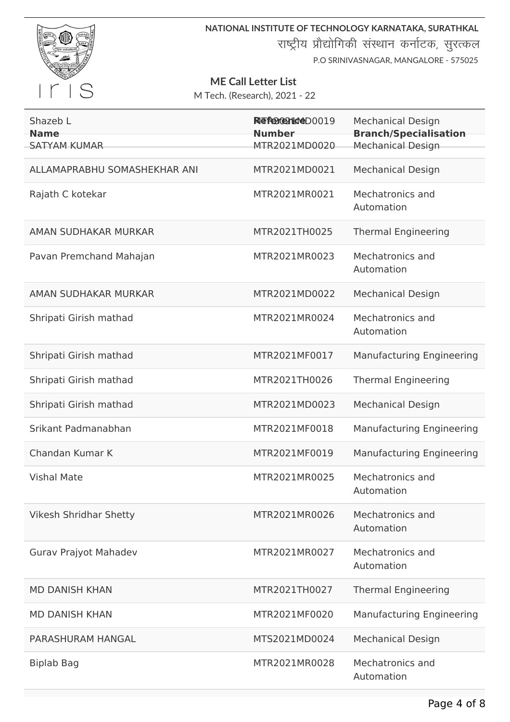

**NATIONAL INSTITUTE OF TECHNOLOGY KARNATAKA, SURATHKAL** राष्ट्रीय प्रौद्योगिकी संस्थान कर्नाटक, सुरत्कल

P.O SRINIVASNAGAR, MANGALORE - 575025

### **ME Call Letter List**

| Shazeb L                           | Reference D0019                | <b>Mechanical Design</b>                                 |
|------------------------------------|--------------------------------|----------------------------------------------------------|
| <b>Name</b><br><b>SATYAM KUMAR</b> | <b>Number</b><br>MTR2021MD0020 | <b>Branch/Specialisation</b><br><b>Mechanical Design</b> |
| ALLAMAPRABHU SOMASHEKHAR ANI       | MTR2021MD0021                  | <b>Mechanical Design</b>                                 |
| Rajath C kotekar                   | MTR2021MR0021                  | Mechatronics and<br>Automation                           |
| AMAN SUDHAKAR MURKAR               | MTR2021TH0025                  | <b>Thermal Engineering</b>                               |
| Pavan Premchand Mahajan            | MTR2021MR0023                  | Mechatronics and<br>Automation                           |
| AMAN SUDHAKAR MURKAR               | MTR2021MD0022                  | <b>Mechanical Design</b>                                 |
| Shripati Girish mathad             | MTR2021MR0024                  | Mechatronics and<br>Automation                           |
| Shripati Girish mathad             | MTR2021MF0017                  | <b>Manufacturing Engineering</b>                         |
| Shripati Girish mathad             | MTR2021TH0026                  | <b>Thermal Engineering</b>                               |
| Shripati Girish mathad             | MTR2021MD0023                  | <b>Mechanical Design</b>                                 |
| Srikant Padmanabhan                | MTR2021MF0018                  | <b>Manufacturing Engineering</b>                         |
| Chandan Kumar K                    | MTR2021MF0019                  | <b>Manufacturing Engineering</b>                         |
| <b>Vishal Mate</b>                 | MTR2021MR0025                  | Mechatronics and<br>Automation                           |
| <b>Vikesh Shridhar Shetty</b>      | MTR2021MR0026                  | Mechatronics and<br>Automation                           |
| Gurav Prajyot Mahadev              | MTR2021MR0027                  | Mechatronics and<br>Automation                           |
| <b>MD DANISH KHAN</b>              | MTR2021TH0027                  | <b>Thermal Engineering</b>                               |
| <b>MD DANISH KHAN</b>              | MTR2021MF0020                  | <b>Manufacturing Engineering</b>                         |
| PARASHURAM HANGAL                  | MTS2021MD0024                  | <b>Mechanical Design</b>                                 |
| <b>Biplab Bag</b>                  | MTR2021MR0028                  | Mechatronics and<br>Automation                           |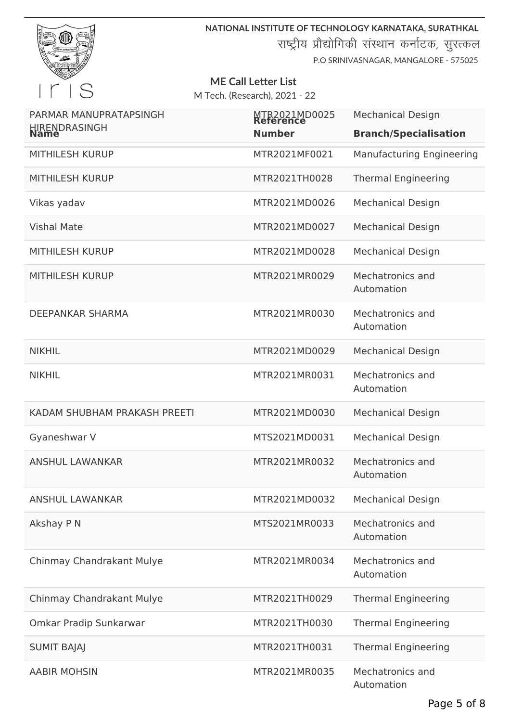

**NATIONAL INSTITUTE OF TECHNOLOGY KARNATAKA, SURATHKAL**

राष्ट्रीय प्रौद्योगिकी संस्थान कर्नाटक, सुरत्कल

P.O SRINIVASNAGAR, MANGALORE - 575025

#### **ME Call Letter List**

| PARMAR MANUPRATAPSINGH       | MTR2021MD0025 | <b>Mechanical Design</b>         |
|------------------------------|---------------|----------------------------------|
| HIRENDRASINGH                | <b>Number</b> | <b>Branch/Specialisation</b>     |
| <b>MITHILESH KURUP</b>       | MTR2021MF0021 | <b>Manufacturing Engineering</b> |
| <b>MITHILESH KURUP</b>       | MTR2021TH0028 | <b>Thermal Engineering</b>       |
| Vikas yadav                  | MTR2021MD0026 | <b>Mechanical Design</b>         |
| <b>Vishal Mate</b>           | MTR2021MD0027 | <b>Mechanical Design</b>         |
| <b>MITHILESH KURUP</b>       | MTR2021MD0028 | <b>Mechanical Design</b>         |
| <b>MITHILESH KURUP</b>       | MTR2021MR0029 | Mechatronics and<br>Automation   |
| <b>DEEPANKAR SHARMA</b>      | MTR2021MR0030 | Mechatronics and<br>Automation   |
| <b>NIKHIL</b>                | MTR2021MD0029 | <b>Mechanical Design</b>         |
| <b>NIKHIL</b>                | MTR2021MR0031 | Mechatronics and<br>Automation   |
| KADAM SHUBHAM PRAKASH PREETI | MTR2021MD0030 | <b>Mechanical Design</b>         |
| Gyaneshwar V                 | MTS2021MD0031 | <b>Mechanical Design</b>         |
| <b>ANSHUL LAWANKAR</b>       | MTR2021MR0032 | Mechatronics and<br>Automation   |
| <b>ANSHUL LAWANKAR</b>       | MTR2021MD0032 | <b>Mechanical Design</b>         |
| Akshay P N                   | MTS2021MR0033 | Mechatronics and<br>Automation   |
| Chinmay Chandrakant Mulye    | MTR2021MR0034 | Mechatronics and<br>Automation   |
| Chinmay Chandrakant Mulye    | MTR2021TH0029 | <b>Thermal Engineering</b>       |
| Omkar Pradip Sunkarwar       | MTR2021TH0030 | <b>Thermal Engineering</b>       |
| <b>SUMIT BAJAJ</b>           | MTR2021TH0031 | <b>Thermal Engineering</b>       |
| <b>AABIR MOHSIN</b>          | MTR2021MR0035 | Mechatronics and<br>Automation   |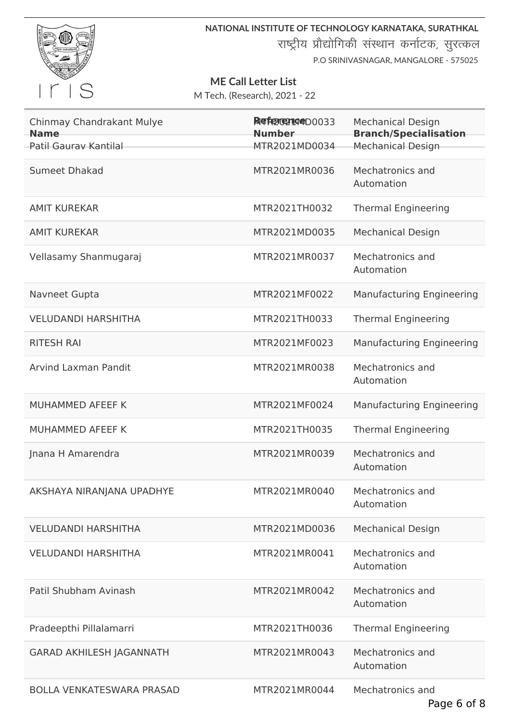

**NATIONAL INSTITUTE OF TECHNOLOGY KARNATAKA, SURATHKAL** राष्ट्रीय प्रौद्योगिकी संस्थान कर्नाटक, सुरत्कल P.O SRINIVASNAGAR, MANGALORE - 575025

### **ME Call Letter List**

| Chinmay Chandrakant Mulye<br><b>Name</b> | Reference 00033<br><b>Number</b> | <b>Mechanical Design</b><br><b>Branch/Specialisation</b> |
|------------------------------------------|----------------------------------|----------------------------------------------------------|
| Patil Gauray Kantilal                    | MTR2021MD0034                    | <b>Mechanical Design</b>                                 |
| <b>Sumeet Dhakad</b>                     | MTR2021MR0036                    | Mechatronics and<br>Automation                           |
| <b>AMIT KUREKAR</b>                      | MTR2021TH0032                    | <b>Thermal Engineering</b>                               |
| <b>AMIT KUREKAR</b>                      | MTR2021MD0035                    | <b>Mechanical Design</b>                                 |
| Vellasamy Shanmugaraj                    | MTR2021MR0037                    | Mechatronics and<br>Automation                           |
| Navneet Gupta                            | MTR2021MF0022                    | <b>Manufacturing Engineering</b>                         |
| <b>VELUDANDI HARSHITHA</b>               | MTR2021TH0033                    | <b>Thermal Engineering</b>                               |
| <b>RITESH RAI</b>                        | MTR2021MF0023                    | <b>Manufacturing Engineering</b>                         |
| <b>Arvind Laxman Pandit</b>              | MTR2021MR0038                    | Mechatronics and<br>Automation                           |
| MUHAMMED AFEEF K                         | MTR2021MF0024                    | <b>Manufacturing Engineering</b>                         |
| MUHAMMED AFEEF K                         | MTR2021TH0035                    | <b>Thermal Engineering</b>                               |
| Jnana H Amarendra                        | MTR2021MR0039                    | Mechatronics and<br>Automation                           |
| AKSHAYA NIRANJANA UPADHYE                | MTR2021MR0040                    | Mechatronics and<br>Automation                           |
| <b>VELUDANDI HARSHITHA</b>               | MTR2021MD0036                    | <b>Mechanical Design</b>                                 |
| <b>VELUDANDI HARSHITHA</b>               | MTR2021MR0041                    | Mechatronics and<br>Automation                           |
| Patil Shubham Avinash                    | MTR2021MR0042                    | Mechatronics and<br>Automation                           |
| Pradeepthi Pillalamarri                  | MTR2021TH0036                    | <b>Thermal Engineering</b>                               |
| <b>GARAD AKHILESH JAGANNATH</b>          | MTR2021MR0043                    | Mechatronics and<br>Automation                           |
| <b>BOLLA VENKATESWARA PRASAD</b>         | MTR2021MR0044                    | Mechatronics and                                         |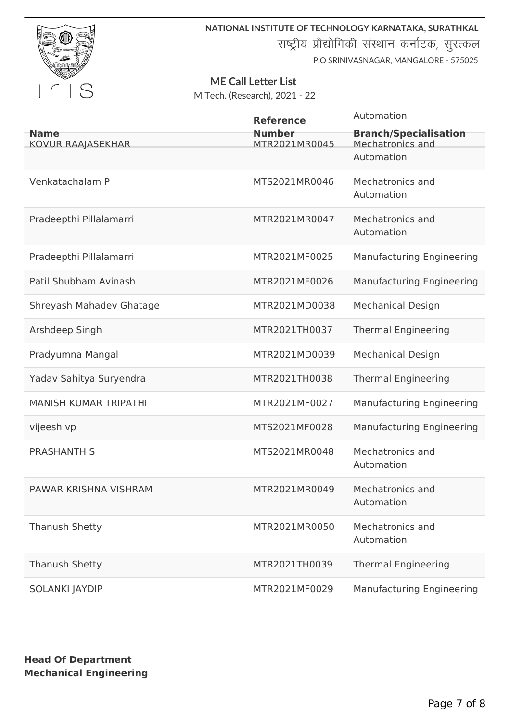

**NATIONAL INSTITUTE OF TECHNOLOGY KARNATAKA, SURATHKAL**

राष्ट्रीय प्रौद्योगिकी संस्थान कर्नाटक, सुरत्कल

P.O SRINIVASNAGAR, MANGALORE - 575025

#### **ME Call Letter List**

M Tech. (Research), 2021 - 22

| <b>Name</b><br>KOVUR RAAJASEKHAR | <b>Reference</b><br><b>Number</b><br>MTR2021MR0045 | Automation<br><b>Branch/Specialisation</b><br>Mechatronics and<br>Automation |
|----------------------------------|----------------------------------------------------|------------------------------------------------------------------------------|
| Venkatachalam P                  | MTS2021MR0046                                      | Mechatronics and<br>Automation                                               |
| Pradeepthi Pillalamarri          | MTR2021MR0047                                      | Mechatronics and<br>Automation                                               |
| Pradeepthi Pillalamarri          | MTR2021MF0025                                      | <b>Manufacturing Engineering</b>                                             |
| Patil Shubham Avinash            | MTR2021MF0026                                      | <b>Manufacturing Engineering</b>                                             |
| Shreyash Mahadev Ghatage         | MTR2021MD0038                                      | <b>Mechanical Design</b>                                                     |
| Arshdeep Singh                   | MTR2021TH0037                                      | <b>Thermal Engineering</b>                                                   |
| Pradyumna Mangal                 | MTR2021MD0039                                      | <b>Mechanical Design</b>                                                     |
| Yadav Sahitya Suryendra          | MTR2021TH0038                                      | <b>Thermal Engineering</b>                                                   |
| <b>MANISH KUMAR TRIPATHI</b>     | MTR2021MF0027                                      | <b>Manufacturing Engineering</b>                                             |
| vijeesh vp                       | MTS2021MF0028                                      | <b>Manufacturing Engineering</b>                                             |
| <b>PRASHANTH S</b>               | MTS2021MR0048                                      | Mechatronics and<br>Automation                                               |
| PAWAR KRISHNA VISHRAM            | MTR2021MR0049                                      | Mechatronics and<br>Automation                                               |
| <b>Thanush Shetty</b>            | MTR2021MR0050                                      | Mechatronics and<br>Automation                                               |
| <b>Thanush Shetty</b>            | MTR2021TH0039                                      | <b>Thermal Engineering</b>                                                   |
| <b>SOLANKI JAYDIP</b>            | MTR2021MF0029                                      | <b>Manufacturing Engineering</b>                                             |

**Head Of Department Mechanical Engineering**